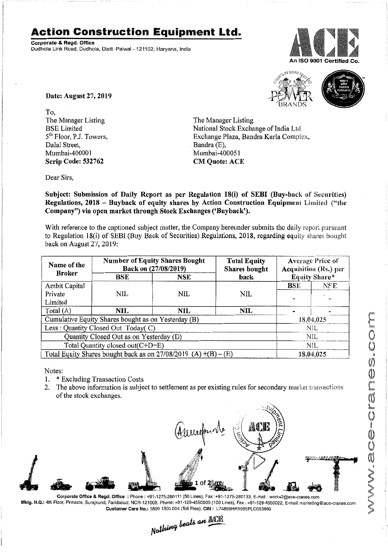## **Action Construction Equipment Ltd.**

Corporate & Regd. Office Dudhola Link Road, Dudhola, Distt. Palwal- 121102, Haryana, India



10 M O.S.



Date: August 27, 2019

To, The Manager Listing BSE Limited 5<sup>th</sup> Floor, P.J. Towers, Dalal Street, Mumbai-400001 Scrip Code: 532762

The Manager Listing National Stock Exchange of India Ltd. Exchange Plaza, Bandra Kurla Complex, Bandra (E), Mumbai-400051 CM Quote: ACE

Dear Sirs,

Subject: Submission of Daily Report as per Regulation 18(i) of SEBI (Buy-back of Secnrities) Regulations, 2018 - Buyback of equity shares by Action Construction Equipment Limited ("the Company") via open market through Stock Exchanges ('Buyback').

With reference to the captioned subject matter, the Company hereunder submits the daily report pursuant to Regulation 18(i) of SEBI (Buy Back of Securities) Regulations, 2018, regarding equity shares bought back on August *2'1,2019:*

| Name of the<br><b>Broker</b>                                        | <b>Number of Equity Shares Bought</b><br>Back on (27/08/2019) |            | <b>Total Equity</b><br>Shares bought | Average Price of<br><b>Acquisition (Rs.) per</b><br>Equity Share* |           |  |
|---------------------------------------------------------------------|---------------------------------------------------------------|------------|--------------------------------------|-------------------------------------------------------------------|-----------|--|
|                                                                     | BSE                                                           | NSE        | back                                 |                                                                   |           |  |
| Ambit Capital                                                       |                                                               |            |                                      | <b>BSE</b>                                                        | NSE       |  |
| Private                                                             | NIL.                                                          | NIL        | NIL                                  |                                                                   |           |  |
| Limited                                                             |                                                               |            |                                      |                                                                   |           |  |
| Total $(A)$                                                         | NIL                                                           | <b>NIL</b> | NIL.                                 |                                                                   |           |  |
| Cumulative Equity Shares bought as on Yesterday (B)                 |                                                               |            |                                      |                                                                   | 18,04,025 |  |
| Less: Quantity Closed Out Today(C)                                  |                                                               |            |                                      | <b>NIL</b>                                                        |           |  |
| Quantity Closed Out as on Yesterday (D)                             |                                                               |            |                                      | NIL                                                               |           |  |
| Total Quantity closed out(C+D=E)                                    |                                                               |            |                                      | NIL.                                                              |           |  |
| Total Equity Shares bought back as on $27/08/2019$ (A) $+(B) - (E)$ |                                                               |            |                                      | 18,04,025                                                         |           |  |

Notes:

- 1. \* Excluding Transaction Costs
- 2. The above information is subject to settlement as per existing rules for secondary market transactions of the stock exchanges.



Mktg. H.Q.: 4th Floor, Pinnacle, Surajkund, Faridabad, NCR-121009, Phone: +91-129-4550000 (100 Lines), Fax: +91-129-4550022, E-mail: marketing@ace-cranes.com

Customer Care No.: 1800 1800 004 (Toll Free), CIN: L74899HR1995PLC053860<br>Northing beats an **Allia**